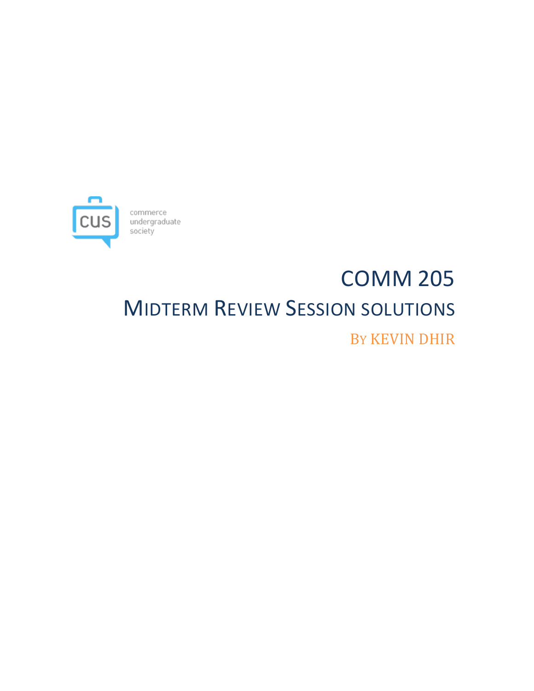

# COMM 205 **MIDTERM REVIEW SESSION SOLUTIONS** BY KEVIN DHIR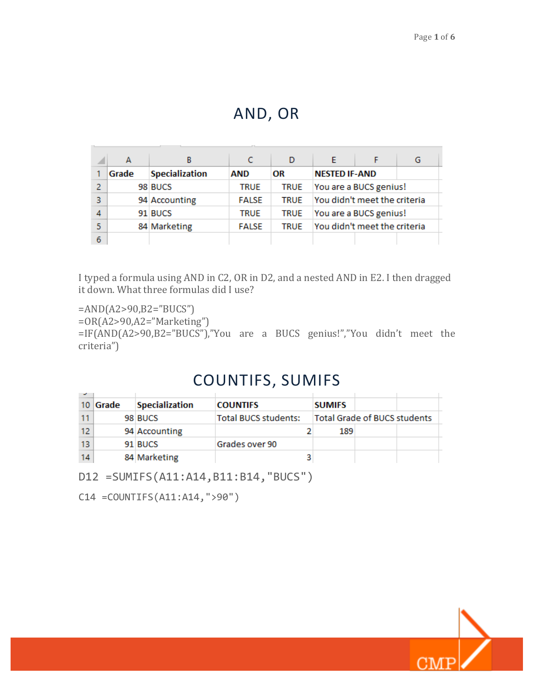### AND, OR

|   |       | B                     |              | D           |                              | G |
|---|-------|-----------------------|--------------|-------------|------------------------------|---|
|   | Grade | <b>Specialization</b> | AND          | OR          | <b>NESTED IF-AND</b>         |   |
| 2 |       | 98 BUCS               | <b>TRUE</b>  | <b>TRUE</b> | You are a BUCS genius!       |   |
| з |       | 94 Accounting         | <b>FALSE</b> | <b>TRUE</b> | You didn't meet the criteria |   |
|   |       | 91 BUCS               | <b>TRUE</b>  | <b>TRUE</b> | You are a BUCS genius!       |   |
|   |       | 84 Marketing          | <b>FALSE</b> | <b>TRUE</b> | You didn't meet the criteria |   |
|   |       |                       |              |             |                              |   |

I typed a formula using AND in C2, OR in D2, and a nested AND in E2. I then dragged it down. What three formulas did I use?

=AND(A2>90,B2="BUCS") =OR(A2>90,A2="Marketing")  $=IF(AND(A2>90,B2="BUCS")$ ,"You are a BUCS genius!","You didn't meet the criteria")

#### COUNTIFS, SUMIFS

|    | 10   Grade | <b>Specialization</b> | <b>COUNTIFS</b>             | <b>SUMIFS</b> |                                     |  |
|----|------------|-----------------------|-----------------------------|---------------|-------------------------------------|--|
|    |            | 98 BUCS               | <b>Total BUCS students:</b> |               | <b>Total Grade of BUCS students</b> |  |
| 12 |            | 94 Accounting         |                             | 189           |                                     |  |
| 13 |            | 91 BUCS               | Grades over 90              |               |                                     |  |
| 14 |            | 84 Marketing          |                             |               |                                     |  |

D12 =SUMIFS(A11:A14,B11:B14,"BUCS")

C14 =COUNTIFS(A11:A14,">90")

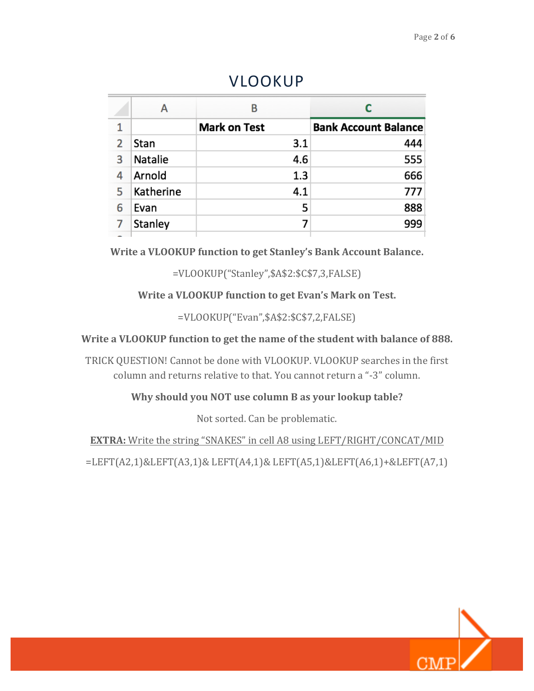|   | А         | в                   |                             |  |  |
|---|-----------|---------------------|-----------------------------|--|--|
|   |           | <b>Mark on Test</b> | <b>Bank Account Balance</b> |  |  |
| 2 | Stan      | 3.1                 | 444                         |  |  |
| 3 | Natalie   | 4.6                 | 555                         |  |  |
| 4 | Arnold    | 1.3                 | 666                         |  |  |
| 5 | Katherine | 4.1                 | 777                         |  |  |
| 6 | Evan      | 5                   | 888                         |  |  |
| 7 | Stanley   |                     | 999                         |  |  |
|   |           |                     |                             |  |  |

#### VLOOKUP

**Write a VLOOKUP function to get Stanley's Bank Account Balance.** 

=VLOOKUP("Stanley",\$A\$2:\$C\$7,3,FALSE)

**Write a VLOOKUP function to get Evan's Mark on Test.** 

=VLOOKUP("Evan",\$A\$2:\$C\$7,2,FALSE)

Write a VLOOKUP function to get the name of the student with balance of 888.

TRICK QUESTION! Cannot be done with VLOOKUP. VLOOKUP searches in the first column and returns relative to that. You cannot return a "-3" column.

**Why should you NOT use column B as your lookup table?** 

Not sorted. Can be problematic.

**EXTRA:** Write the string "SNAKES" in cell A8 using LEFT/RIGHT/CONCAT/MID

=LEFT(A2,1)&LEFT(A3,1)& LEFT(A4,1)& LEFT(A5,1)&LEFT(A6,1)+&LEFT(A7,1)

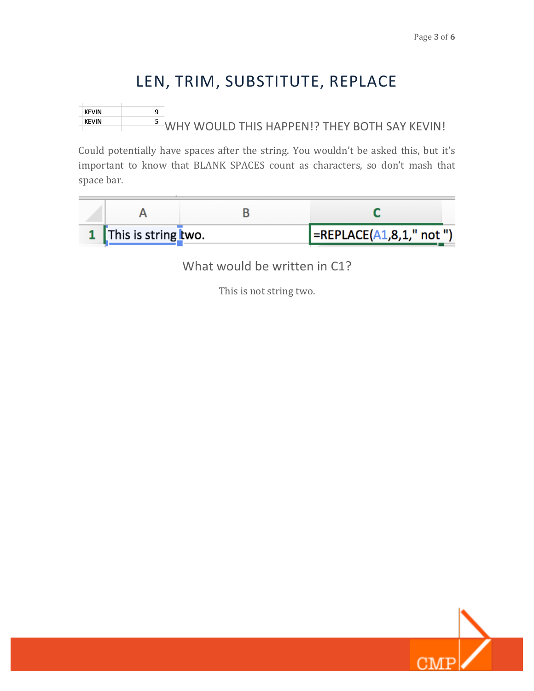# LEN, TRIM, SUBSTITUTE, REPLACE

**KEVIN**  $\overline{9}$  $\frac{5}{10}$  WHY WOULD THIS HAPPEN!? THEY BOTH SAY KEVIN! **KEVIN** 

Could potentially have spaces after the string. You wouldn't be asked this, but it's important to know that BLANK SPACES count as characters, so don't mash that space bar.



What would be written in C1?

This is not string two.

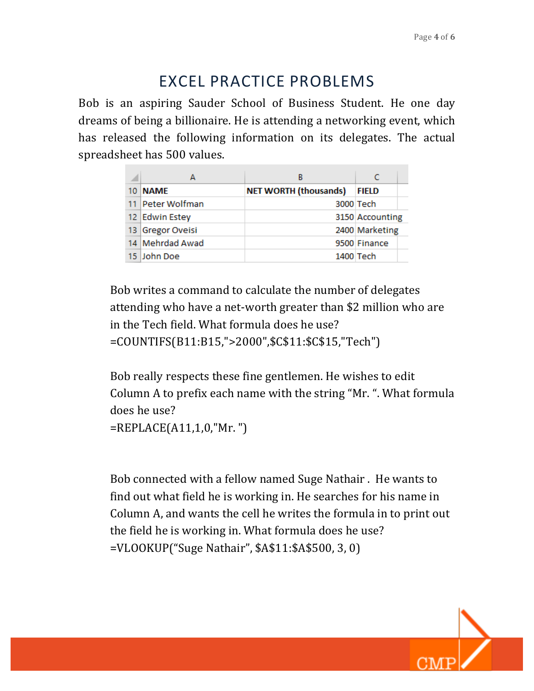## EXCEL PRACTICE PROBLEMS

Bob is an aspiring Sauder School of Business Student. He one day dreams of being a billionaire. He is attending a networking event, which has released the following information on its delegates. The actual spreadsheet has 500 values.

|     |                  | В                            |                 |
|-----|------------------|------------------------------|-----------------|
| 10. | <b>NAME</b>      | <b>NET WORTH (thousands)</b> | <b>FIELD</b>    |
|     | 11 Peter Wolfman |                              | 3000 Tech       |
|     | 12 Edwin Estey   |                              | 3150 Accounting |
|     | 13 Gregor Oveisi |                              | 2400 Marketing  |
|     | 14 Mehrdad Awad  |                              | 9500 Finance    |
|     | 15 John Doe      |                              | 1400 Tech       |

Bob writes a command to calculate the number of delegates attending who have a net-worth greater than \$2 million who are in the Tech field. What formula does he use? =COUNTIFS(B11:B15,">2000",\$C\$11:\$C\$15,"Tech")

Bob really respects these fine gentlemen. He wishes to edit Column A to prefix each name with the string "Mr. ". What formula does he use?

=REPLACE(A11,1,0,"Mr. ")

Bob connected with a fellow named Suge Nathair . He wants to find out what field he is working in. He searches for his name in Column A, and wants the cell he writes the formula in to print out the field he is working in. What formula does he use? =VLOOKUP("Suge Nathair", \$A\$11:\$A\$500, 3, 0)